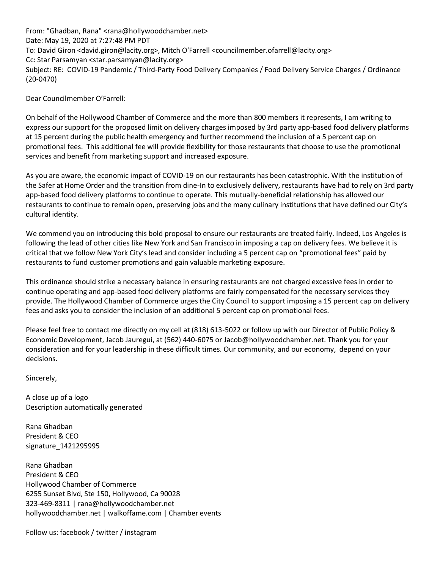From: "Ghadban, Rana" <rana@hollywoodchamber.net> Date: May 19, 2020 at 7:27:48 PM PDT To: David Giron <david.giron@lacity.org>, Mitch O'Farrell <councilmember.ofarrell@lacity.org> Cc: Star Parsamyan <star.parsamyan@lacity.org> Subject: RE: COVID-19 Pandemic / Third-Party Food Delivery Companies / Food Delivery Service Charges / Ordinance (20-0470)

Dear Councilmember O'Farrell:

On behalf of the Hollywood Chamber of Commerce and the more than 800 members it represents, I am writing to express our support for the proposed limit on delivery charges imposed by 3rd party app-based food delivery platforms at 15 percent during the public health emergency and further recommend the inclusion of a 5 percent cap on promotional fees. This additional fee will provide flexibility for those restaurants that choose to use the promotional services and benefit from marketing support and increased exposure.

As you are aware, the economic impact of COVID-19 on our restaurants has been catastrophic. With the institution of the Safer at Home Order and the transition from dine-In to exclusively delivery, restaurants have had to rely on 3rd party app-based food delivery platforms to continue to operate. This mutually-beneficial relationship has allowed our restaurants to continue to remain open, preserving jobs and the many culinary institutions that have defined our City's cultural identity.

We commend you on introducing this bold proposal to ensure our restaurants are treated fairly. Indeed, Los Angeles is following the lead of other cities like New York and San Francisco in imposing a cap on delivery fees. We believe it is critical that we follow New York City's lead and consider including a 5 percent cap on "promotional fees" paid by restaurants to fund customer promotions and gain valuable marketing exposure.

This ordinance should strike a necessary balance in ensuring restaurants are not charged excessive fees in order to continue operating and app-based food delivery platforms are fairly compensated for the necessary services they provide. The Hollywood Chamber of Commerce urges the City Council to support imposing a 15 percent cap on delivery fees and asks you to consider the inclusion of an additional 5 percent cap on promotional fees.

Please feel free to contact me directly on my cell at (818) 613-5022 or follow up with our Director of Public Policy & Economic Development, Jacob Jauregui, at (562) 440-6075 or Jacob@hollywoodchamber.net. Thank you for your consideration and for your leadership in these difficult times. Our community, and our economy, depend on your decisions.

Sincerely,

A close up of a logo Description automatically generated

Rana Ghadban President & CEO signature\_1421295995

Rana Ghadban President & CEO Hollywood Chamber of Commerce 6255 Sunset Blvd, Ste 150, Hollywood, Ca 90028 323-469-8311 | rana@hollywoodchamber.net hollywoodchamber.net | walkoffame.com | Chamber events

Follow us: facebook / twitter / instagram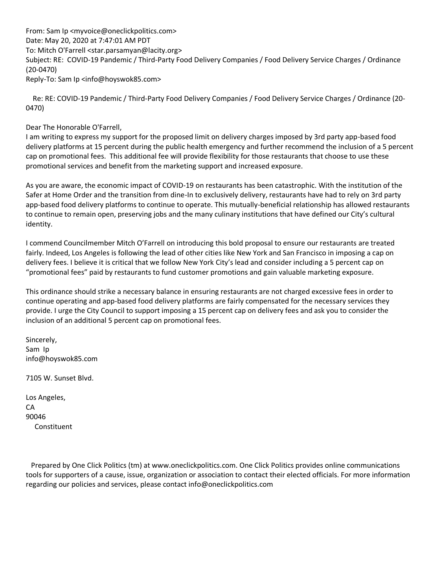From: Sam Ip <myvoice@oneclickpolitics.com> Date: May 20, 2020 at 7:47:01 AM PDT To: Mitch O'Farrell <star.parsamyan@lacity.org> Subject: RE: COVID-19 Pandemic / Third-Party Food Delivery Companies / Food Delivery Service Charges / Ordinance (20-0470) Reply-To: Sam Ip <info@hoyswok85.com>

 Re: RE: COVID-19 Pandemic / Third-Party Food Delivery Companies / Food Delivery Service Charges / Ordinance (20- 0470)

#### Dear The Honorable O'Farrell,

I am writing to express my support for the proposed limit on delivery charges imposed by 3rd party app-based food delivery platforms at 15 percent during the public health emergency and further recommend the inclusion of a 5 percent cap on promotional fees. This additional fee will provide flexibility for those restaurants that choose to use these promotional services and benefit from the marketing support and increased exposure.

As you are aware, the economic impact of COVID-19 on restaurants has been catastrophic. With the institution of the Safer at Home Order and the transition from dine-In to exclusively delivery, restaurants have had to rely on 3rd party app-based food delivery platforms to continue to operate. This mutually-beneficial relationship has allowed restaurants to continue to remain open, preserving jobs and the many culinary institutions that have defined our City's cultural identity.

I commend Councilmember Mitch O'Farrell on introducing this bold proposal to ensure our restaurants are treated fairly. Indeed, Los Angeles is following the lead of other cities like New York and San Francisco in imposing a cap on delivery fees. I believe it is critical that we follow New York City's lead and consider including a 5 percent cap on "promotional fees" paid by restaurants to fund customer promotions and gain valuable marketing exposure.

This ordinance should strike a necessary balance in ensuring restaurants are not charged excessive fees in order to continue operating and app-based food delivery platforms are fairly compensated for the necessary services they provide. I urge the City Council to support imposing a 15 percent cap on delivery fees and ask you to consider the inclusion of an additional 5 percent cap on promotional fees.

Sincerely, Sam Ip info@hoyswok85.com

7105 W. Sunset Blvd.

| Los Angeles, |
|--------------|
| CА           |
| 90046        |
| Constituent  |

 Prepared by One Click Politics (tm) at www.oneclickpolitics.com. One Click Politics provides online communications tools for supporters of a cause, issue, organization or association to contact their elected officials. For more information regarding our policies and services, please contact info@oneclickpolitics.com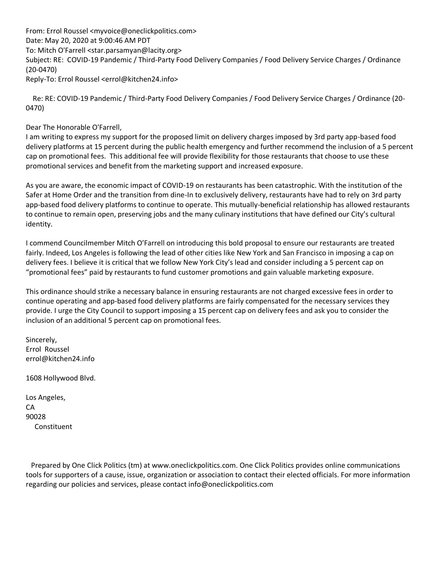From: Errol Roussel <myvoice@oneclickpolitics.com> Date: May 20, 2020 at 9:00:46 AM PDT To: Mitch O'Farrell <star.parsamyan@lacity.org> Subject: RE: COVID-19 Pandemic / Third-Party Food Delivery Companies / Food Delivery Service Charges / Ordinance (20-0470) Reply-To: Errol Roussel <errol@kitchen24.info>

 Re: RE: COVID-19 Pandemic / Third-Party Food Delivery Companies / Food Delivery Service Charges / Ordinance (20- 0470)

Dear The Honorable O'Farrell,

I am writing to express my support for the proposed limit on delivery charges imposed by 3rd party app-based food delivery platforms at 15 percent during the public health emergency and further recommend the inclusion of a 5 percent cap on promotional fees. This additional fee will provide flexibility for those restaurants that choose to use these promotional services and benefit from the marketing support and increased exposure.

As you are aware, the economic impact of COVID-19 on restaurants has been catastrophic. With the institution of the Safer at Home Order and the transition from dine-In to exclusively delivery, restaurants have had to rely on 3rd party app-based food delivery platforms to continue to operate. This mutually-beneficial relationship has allowed restaurants to continue to remain open, preserving jobs and the many culinary institutions that have defined our City's cultural identity.

I commend Councilmember Mitch O'Farrell on introducing this bold proposal to ensure our restaurants are treated fairly. Indeed, Los Angeles is following the lead of other cities like New York and San Francisco in imposing a cap on delivery fees. I believe it is critical that we follow New York City's lead and consider including a 5 percent cap on "promotional fees" paid by restaurants to fund customer promotions and gain valuable marketing exposure.

This ordinance should strike a necessary balance in ensuring restaurants are not charged excessive fees in order to continue operating and app-based food delivery platforms are fairly compensated for the necessary services they provide. I urge the City Council to support imposing a 15 percent cap on delivery fees and ask you to consider the inclusion of an additional 5 percent cap on promotional fees.

Sincerely, Errol Roussel errol@kitchen24.info

1608 Hollywood Blvd.

Los Angeles, CA 90028 Constituent

 Prepared by One Click Politics (tm) at www.oneclickpolitics.com. One Click Politics provides online communications tools for supporters of a cause, issue, organization or association to contact their elected officials. For more information regarding our policies and services, please contact info@oneclickpolitics.com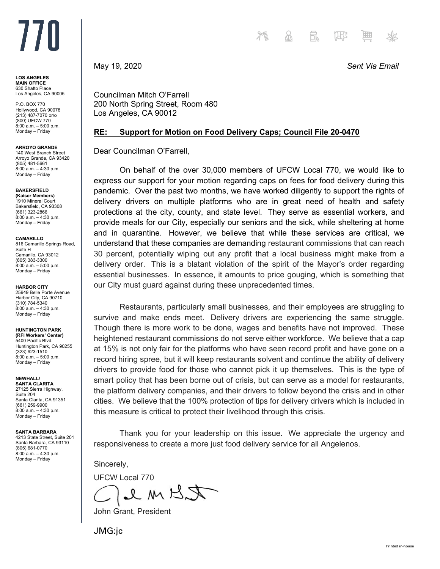# $III$

**LOS ANGELES MAIN OFFICE** 630 Shatto Place Los Angeles, CA 90005

P.O. BOX 770 Hollywood, CA 90078 (213) 487-7070 or/o (800) UFCW 770 8:00 a.m. – 5:00 p.m. Monday – Friday

**ARROYO GRANDE**

140 West Branch Street Arroyo Grande, CA 93420 (805) 481-5661 8:00 a.m. – 4:30 p.m. Monday – Friday

**BAKERSFIELD (Kaiser Members)**

1910 Mineral Court Bakersfield, CA 93308 (661) 323-2866 8:00 a.m. – 4:30 p.m. Monday – Friday

**CAMARILLO**

816 Camarillo Springs Road, Suite H Camarillo, CA 93012 (805) 383-3300 8:00 a.m. – 5:00 p.m. Monday – Friday

**HARBOR CITY**

25949 Belle Porte Avenue Harbor City, CA 90710 (310) 784-5340 8:00 a.m. – 4:30 p.m. Monday – Friday

#### **HUNTINGTON PARK**

**(RFI Workers' Center)** 5400 Pacific Blvd. Huntington Park, CA 90255 (323) 923-1510  $8:00^{6}$ a.m. – 5:00 p.m. Monday – Friday

**NEWHALL/**

**SANTA CLARITA** 27125 Sierra Highway, Suite 204 Santa Clarita, CA 91351 (661) 259-9900 8:00 a.m. – 4:30 p.m. Monday – Friday

**SANTA BARBARA** 4213 State Street, Suite 201

Santa Barbara, CA 93110 (805) 681-0770 8:00 a.m. – 4:30 p.m. Monday – Friday

May 19, 2020 *Sent Via Email*

Councilman Mitch O'Farrell 200 North Spring Street, Room 480 Los Angeles, CA 90012

### **RE: Support for Motion on Food Delivery Caps; Council File 20-0470**

Dear Councilman O'Farrell,

On behalf of the over 30,000 members of UFCW Local 770, we would like to express our support for your motion regarding caps on fees for food delivery during this pandemic. Over the past two months, we have worked diligently to support the rights of delivery drivers on multiple platforms who are in great need of health and safety protections at the city, county, and state level. They serve as essential workers, and provide meals for our City, especially our seniors and the sick, while sheltering at home and in quarantine. However, we believe that while these services are critical, we understand that these companies are demanding restaurant commissions that can reach 30 percent, potentially wiping out any profit that a local business might make from a delivery order. This is a blatant violation of the spirit of the Mayor's order regarding essential businesses. In essence, it amounts to price gouging, which is something that our City must guard against during these unprecedented times.

Restaurants, particularly small businesses, and their employees are struggling to survive and make ends meet. Delivery drivers are experiencing the same struggle. Though there is more work to be done, wages and benefits have not improved. These heightened restaurant commissions do not serve either workforce. We believe that a cap at 15% is not only fair for the platforms who have seen record profit and have gone on a record hiring spree, but it will keep restaurants solvent and continue the ability of delivery drivers to provide food for those who cannot pick it up themselves. This is the type of smart policy that has been borne out of crisis, but can serve as a model for restaurants, the platform delivery companies, and their drivers to follow beyond the crisis and in other cities. We believe that the 100% protection of tips for delivery drivers which is included in this measure is critical to protect their livelihood through this crisis.

Thank you for your leadership on this issue. We appreciate the urgency and responsiveness to create a more just food delivery service for all Angelenos.

Sincerely,

UFCW Local 770

RKMUL

John Grant, President

JMG:jc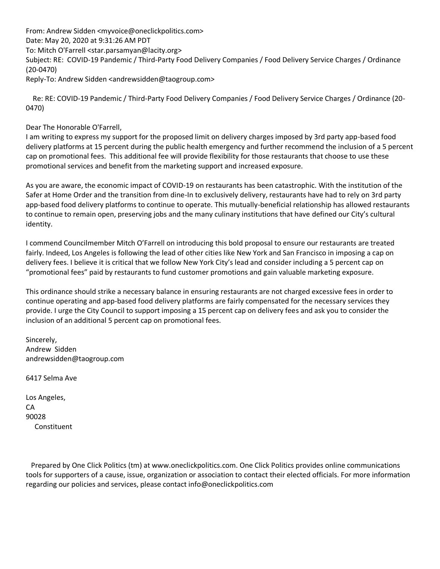From: Andrew Sidden <myvoice@oneclickpolitics.com> Date: May 20, 2020 at 9:31:26 AM PDT To: Mitch O'Farrell <star.parsamyan@lacity.org> Subject: RE: COVID-19 Pandemic / Third-Party Food Delivery Companies / Food Delivery Service Charges / Ordinance (20-0470) Reply-To: Andrew Sidden <andrewsidden@taogroup.com>

 Re: RE: COVID-19 Pandemic / Third-Party Food Delivery Companies / Food Delivery Service Charges / Ordinance (20- 0470)

Dear The Honorable O'Farrell,

I am writing to express my support for the proposed limit on delivery charges imposed by 3rd party app-based food delivery platforms at 15 percent during the public health emergency and further recommend the inclusion of a 5 percent cap on promotional fees. This additional fee will provide flexibility for those restaurants that choose to use these promotional services and benefit from the marketing support and increased exposure.

As you are aware, the economic impact of COVID-19 on restaurants has been catastrophic. With the institution of the Safer at Home Order and the transition from dine-In to exclusively delivery, restaurants have had to rely on 3rd party app-based food delivery platforms to continue to operate. This mutually-beneficial relationship has allowed restaurants to continue to remain open, preserving jobs and the many culinary institutions that have defined our City's cultural identity.

I commend Councilmember Mitch O'Farrell on introducing this bold proposal to ensure our restaurants are treated fairly. Indeed, Los Angeles is following the lead of other cities like New York and San Francisco in imposing a cap on delivery fees. I believe it is critical that we follow New York City's lead and consider including a 5 percent cap on "promotional fees" paid by restaurants to fund customer promotions and gain valuable marketing exposure.

This ordinance should strike a necessary balance in ensuring restaurants are not charged excessive fees in order to continue operating and app-based food delivery platforms are fairly compensated for the necessary services they provide. I urge the City Council to support imposing a 15 percent cap on delivery fees and ask you to consider the inclusion of an additional 5 percent cap on promotional fees.

Sincerely, Andrew Sidden andrewsidden@taogroup.com

6417 Selma Ave

Los Angeles, CA 90028 Constituent

 Prepared by One Click Politics (tm) at www.oneclickpolitics.com. One Click Politics provides online communications tools for supporters of a cause, issue, organization or association to contact their elected officials. For more information regarding our policies and services, please contact info@oneclickpolitics.com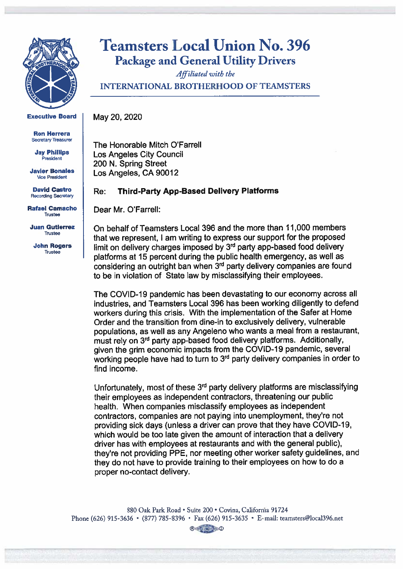

**Executive Board** 

**Ron Herrera Secretary Treasurer** 

**Jay Phillips** President

**Javier Bonales Vice President** 

**David Castro Recording Secretary** 

**Rafael Camacho** Trustee

**Juan Gutierrez** Trustee

**John Rogers** Trustee

## **Teamsters Local Union No. 396 Package and General Utility Drivers**

Affiliated with the **INTERNATIONAL BROTHERHOOD OF TEAMSTERS** 

May 20, 2020

The Honorable Mitch O'Farrell Los Angeles City Council 200 N. Spring Street Los Angeles, CA 90012

#### **Third-Party App-Based Delivery Platforms** Re:

Dear Mr. O'Farrell:

On behalf of Teamsters Local 396 and the more than 11,000 members that we represent. I am writing to express our support for the proposed limit on delivery charges imposed by 3<sup>rd</sup> party app-based food delivery platforms at 15 percent during the public health emergency, as well as considering an outright ban when 3<sup>rd</sup> party delivery companies are found to be in violation of State law by misclassifying their employees.

The COVID-19 pandemic has been devastating to our economy across all industries, and Teamsters Local 396 has been working diligently to defend workers during this crisis. With the implementation of the Safer at Home Order and the transition from dine-in to exclusively delivery, vulnerable populations, as well as any Angeleno who wants a meal from a restaurant, must rely on 3<sup>rd</sup> party app-based food delivery platforms. Additionally, given the grim economic impacts from the COVID-19 pandemic, several working people have had to turn to 3<sup>rd</sup> party delivery companies in order to find income.

Unfortunately, most of these 3<sup>rd</sup> party delivery platforms are misclassifying their employees as independent contractors, threatening our public health. When companies misclassify employees as independent contractors, companies are not paying into unemployment, they're not providing sick days (unless a driver can prove that they have COVID-19, which would be too late given the amount of interaction that a delivery driver has with employees at restaurants and with the general public). they're not providing PPE, nor meeting other worker safety quidelines. and they do not have to provide training to their employees on how to do a proper no-contact delivery.

880 Oak Park Road · Suite 200 · Covina, California 91724 Phone (626) 915-3636 • (877) 785-8396 • Fax (626) 915-3635 • E-mail: teamsters@local396.net